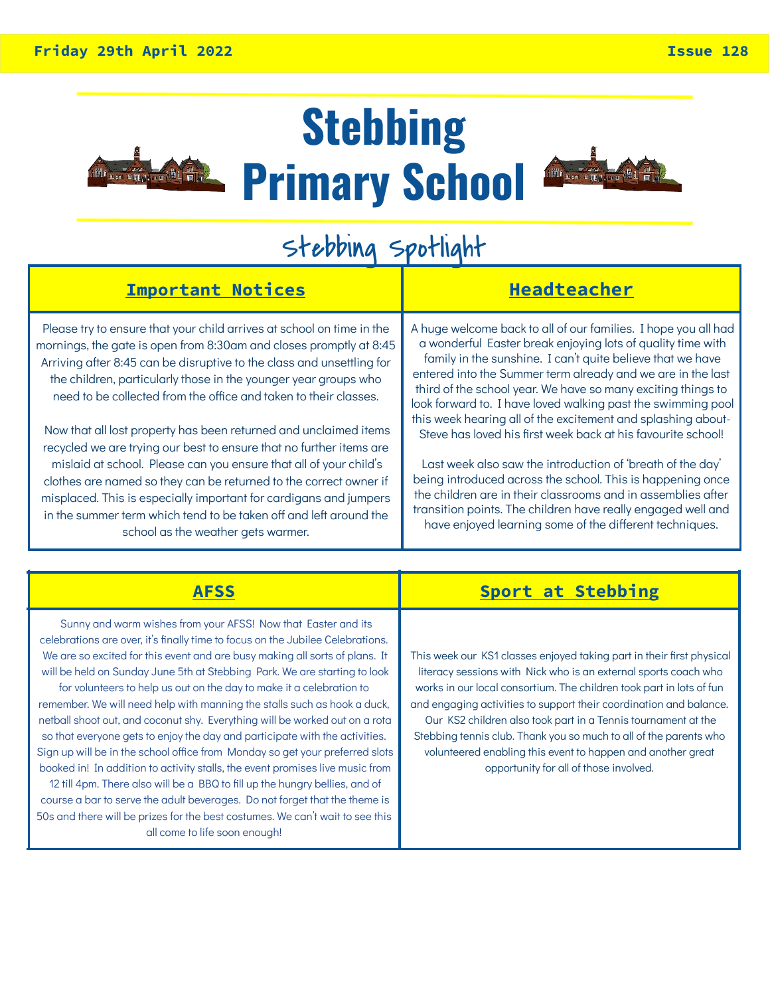

## **Stebbing Primary School**



## Stebbing Spotlight

| <b>Important Notices</b>                                                                                                                                                                                                                                                                                                                                                                                                                                                                                                                                                                                                                                                                                                                                                                                                         | <b>Headteacher</b>                                                                                                                                                                                                                                                                                                                                                                                                                                                                                                                                                                                                                                                                                                                                                                                                                                |
|----------------------------------------------------------------------------------------------------------------------------------------------------------------------------------------------------------------------------------------------------------------------------------------------------------------------------------------------------------------------------------------------------------------------------------------------------------------------------------------------------------------------------------------------------------------------------------------------------------------------------------------------------------------------------------------------------------------------------------------------------------------------------------------------------------------------------------|---------------------------------------------------------------------------------------------------------------------------------------------------------------------------------------------------------------------------------------------------------------------------------------------------------------------------------------------------------------------------------------------------------------------------------------------------------------------------------------------------------------------------------------------------------------------------------------------------------------------------------------------------------------------------------------------------------------------------------------------------------------------------------------------------------------------------------------------------|
| Please try to ensure that your child arrives at school on time in the<br>mornings, the gate is open from 8:30am and closes promptly at 8:45<br>Arriving after 8:45 can be disruptive to the class and unsettling for<br>the children, particularly those in the younger year groups who<br>need to be collected from the office and taken to their classes.<br>Now that all lost property has been returned and unclaimed items<br>recycled we are trying our best to ensure that no further items are<br>mislaid at school. Please can you ensure that all of your child's<br>clothes are named so they can be returned to the correct owner if<br>misplaced. This is especially important for cardigans and jumpers<br>in the summer term which tend to be taken off and left around the<br>school as the weather gets warmer. | A huge welcome back to all of our families. I hope you all had<br>a wonderful Easter break enjoying lots of quality time with<br>family in the sunshine. I can't quite believe that we have<br>entered into the Summer term already and we are in the last<br>third of the school year. We have so many exciting things to<br>look forward to. I have loved walking past the swimming pool<br>this week hearing all of the excitement and splashing about-<br>Steve has loved his first week back at his favourite school!<br>Last week also saw the introduction of 'breath of the day'<br>being introduced across the school. This is happening once<br>the children are in their classrooms and in assemblies after<br>transition points. The children have really engaged well and<br>have enjoyed learning some of the different techniques. |

|                                                                                                                                                                                                                                                                                                                                                                                                                                                                                                                                                                                                                                                                                                                                                                                                                                                                                                                                                                                                                                                                               | Sport at Stebbing                                                                                                                                                                                                                                                                                                                                                                                                                                                                                                                     |
|-------------------------------------------------------------------------------------------------------------------------------------------------------------------------------------------------------------------------------------------------------------------------------------------------------------------------------------------------------------------------------------------------------------------------------------------------------------------------------------------------------------------------------------------------------------------------------------------------------------------------------------------------------------------------------------------------------------------------------------------------------------------------------------------------------------------------------------------------------------------------------------------------------------------------------------------------------------------------------------------------------------------------------------------------------------------------------|---------------------------------------------------------------------------------------------------------------------------------------------------------------------------------------------------------------------------------------------------------------------------------------------------------------------------------------------------------------------------------------------------------------------------------------------------------------------------------------------------------------------------------------|
| Sunny and warm wishes from your AFSS! Now that Easter and its<br>celebrations are over, it's finally time to focus on the Jubilee Celebrations.<br>We are so excited for this event and are busy making all sorts of plans. It<br>will be held on Sunday June 5th at Stebbing Park. We are starting to look<br>for volunteers to help us out on the day to make it a celebration to<br>remember. We will need help with manning the stalls such as hook a duck,<br>netball shoot out, and coconut shy. Everything will be worked out on a rota<br>so that everyone gets to enjoy the day and participate with the activities.<br>Sign up will be in the school office from Monday so get your preferred slots<br>booked in! In addition to activity stalls, the event promises live music from<br>12 till 4pm. There also will be a BBQ to fill up the hungry bellies, and of<br>course a bar to serve the adult beverages. Do not forget that the theme is<br>50s and there will be prizes for the best costumes. We can't wait to see this<br>all come to life soon enough! | This week our KS1 classes enjoyed taking part in their first physical<br>literacy sessions with Nick who is an external sports coach who<br>works in our local consortium. The children took part in lots of fun<br>and engaging activities to support their coordination and balance.<br>Our KS2 children also took part in a Tennis tournament at the<br>Stebbing tennis club. Thank you so much to all of the parents who<br>volunteered enabling this event to happen and another great<br>opportunity for all of those involved. |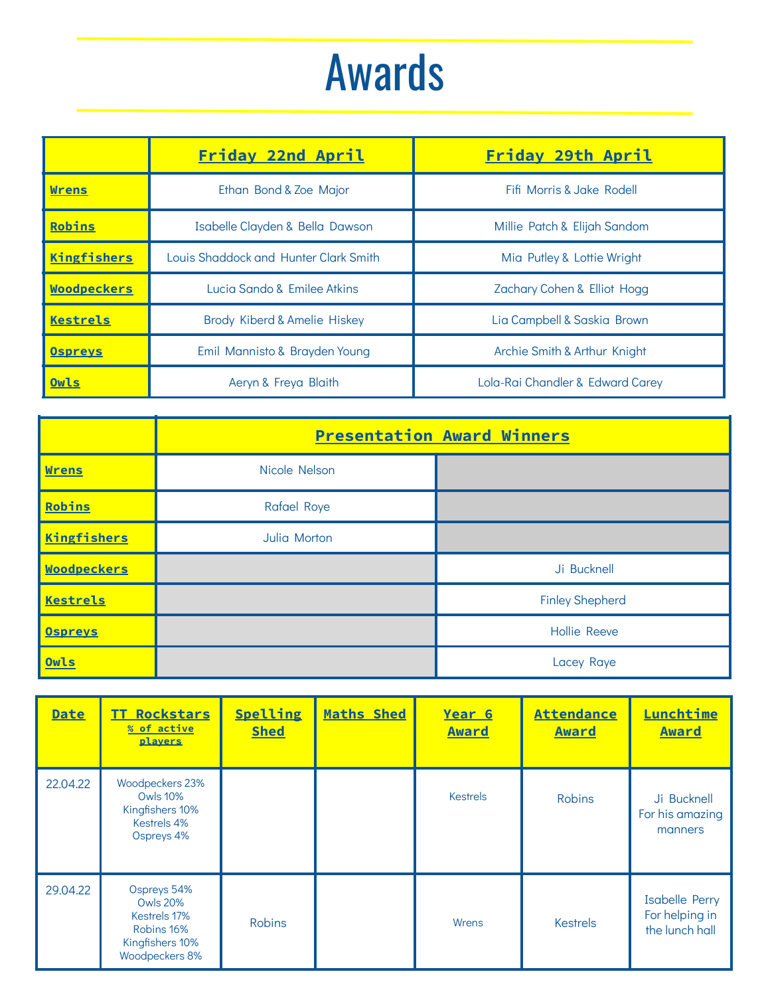## Awards

|                    | Friday 22nd April                                   | Friday 29th April                |
|--------------------|-----------------------------------------------------|----------------------------------|
| <b>Wrens</b>       | Fifi Morris & Jake Rodell<br>Ethan Bond & Zoe Major |                                  |
| Robins             | Isabelle Clayden & Bella Dawson                     | Millie Patch & Elijah Sandom     |
| <b>Kingfishers</b> | Louis Shaddock and Hunter Clark Smith               | Mia Putley & Lottie Wright       |
| <b>Woodpeckers</b> | Lucia Sando & Emilee Atkins                         | Zachary Cohen & Elliot Hogg      |
| Kestrels           | Brody Kiberd & Amelie Hiskey                        | Lia Campbell & Saskia Brown      |
| <b>Ospreys</b>     | Emil Mannisto & Brayden Young                       | Archie Smith & Arthur Knight     |
| Owls               | Aeryn & Freya Blaith                                | Lola-Rai Chandler & Edward Carey |

|                    | <b>Presentation Award Winners</b> |                        |  |
|--------------------|-----------------------------------|------------------------|--|
| <b>Wrens</b>       | Nicole Nelson                     |                        |  |
| Robins             | <b>Rafael Roye</b>                |                        |  |
| <b>Kingfishers</b> | Julia Morton                      |                        |  |
| <b>Woodpeckers</b> |                                   | Ji Bucknell            |  |
| <b>Kestrels</b>    |                                   | <b>Finley Shepherd</b> |  |
| <b>Ospreys</b>     |                                   | <b>Hollie Reeve</b>    |  |
| Owls               |                                   | Lacey Raye             |  |

| <b>Date</b> | Rockstars<br>TT.<br>% of active<br>players                                                        | Spelling<br><b>Shed</b> | Maths Shed | Year 6<br><b>Award</b> | <b>Attendance</b><br><b>Award</b> | Lunchtime<br><b>Award</b>                                 |
|-------------|---------------------------------------------------------------------------------------------------|-------------------------|------------|------------------------|-----------------------------------|-----------------------------------------------------------|
| 22.04.22    | Woodpeckers 23%<br><b>Owls 10%</b><br>Kingfishers 10%<br>Kestrels 4%<br>Ospreys 4%                |                         |            | <b>Kestrels</b>        | <b>Robins</b>                     | Ji Bucknell<br>For his amazing<br>manners                 |
| 29.04.22    | Ospreys 54%<br><b>Owls 20%</b><br>Kestrels 17%<br>Robins 16%<br>Kingfishers 10%<br>Woodpeckers 8% | <b>Robins</b>           |            | Wrens                  | <b>Kestrels</b>                   | <b>Isabelle Perry</b><br>For helping in<br>the lunch hall |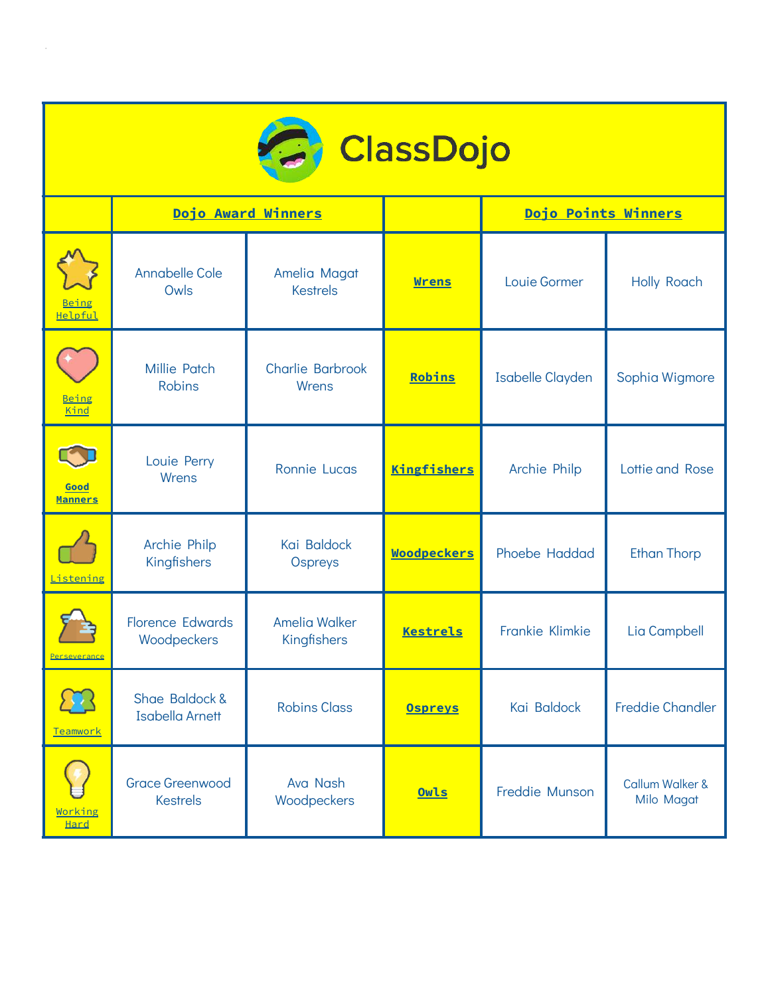

|                        | Dojo Award Winners                        |                                     |                    | Dojo Points Winners     |                                          |
|------------------------|-------------------------------------------|-------------------------------------|--------------------|-------------------------|------------------------------------------|
| Being<br>Helpful       | <b>Annabelle Cole</b><br>Owls             | Amelia Magat<br><b>Kestrels</b>     | <b>Wrens</b>       | Louie Gormer            | <b>Holly Roach</b>                       |
| Being<br>Kind          | <b>Millie Patch</b><br><b>Robins</b>      | <b>Charlie Barbrook</b><br>Wrens    | Robins             | <b>Isabelle Clayden</b> | Sophia Wigmore                           |
| Good<br><b>Manners</b> | Louie Perry<br>Wrens                      | <b>Ronnie Lucas</b>                 | <b>Kingfishers</b> | Archie Philp            | Lottie and Rose                          |
| .istening              | Archie Philp<br>Kingfishers               | Kai Baldock<br>Ospreys              | <b>Woodpeckers</b> | Phoebe Haddad           | <b>Ethan Thorp</b>                       |
| Perseverance           | <b>Florence Edwards</b><br>Woodpeckers    | <b>Amelia Walker</b><br>Kingfishers | <b>Kestrels</b>    | Frankie Klimkie         | Lia Campbell                             |
| Teamwork               | Shae Baldock &<br><b>Isabella Arnett</b>  | <b>Robins Class</b>                 | <b>Ospreys</b>     | Kai Baldock             | <b>Freddie Chandler</b>                  |
| Working<br><b>Hard</b> | <b>Grace Greenwood</b><br><b>Kestrels</b> | Ava Nash<br>Woodpeckers             | Owls               | Freddie Munson          | <b>Callum Walker &amp;</b><br>Milo Magat |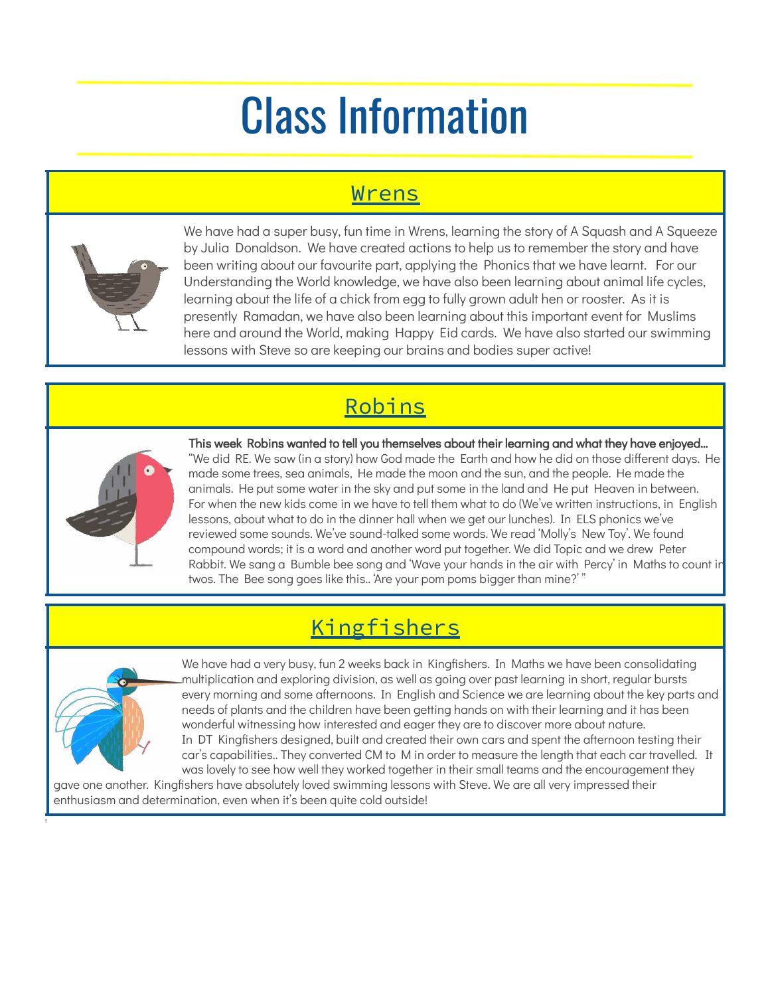## Class Information

### Wrens



We have had a super busy, fun time in Wrens, learning the story of A Squash and A Squeeze by Julia Donaldson. We have created actions to help us to remember the story and have been writing about our favourite part, applying the Phonics that we have learnt. For our Understanding the World knowledge, we have also been learning about animal life cycles, learning about the life of a chick from egg to fully grown adult hen or rooster. As it is presently Ramadan, we have also been learning about this important event for Muslims here and around the World, making Happy Eid cards. We have also started our swimming lessons with Steve so are keeping our brains and bodies super active!

## Robins



This week Robins wanted to tell you themselves about their learning and what they have enjoyed… "We did RE. We saw (in a story) how God made the Earth and how he did on those different days. He made some trees, sea animals, He made the moon and the sun, and the people. He made the animals. He put some water in the sky and put some in the land and He put Heaven in between. For when the new kids come in we have to tell them what to do (We've written instructions, in English lessons, about what to do in the dinner hall when we get our lunches). In ELS phonics we've reviewed some sounds. We've sound-talked some words. We read 'Molly's New Toy'. We found compound words; it is a word and another word put together. We did Topic and we drew Peter Rabbit. We sang a Bumble bee song and 'Wave your hands in the air with Percy' in Maths to count in twos. The Bee song goes like this.. 'Are your pom poms bigger than mine?' "

## **Kingfishers**



t

We have had a very busy, fun 2 weeks back in Kingfishers. In Maths we have been consolidating multiplication and exploring division, as well as going over past learning in short, regular bursts every morning and some afternoons. In English and Science we are learning about the key parts and needs of plants and the children have been getting hands on with their learning and it has been wonderful witnessing how interested and eager they are to discover more about nature. In DT Kingfishers designed, built and created their own cars and spent the afternoon testing their car's capabilities.. They converted CM to M in order to measure the length that each car travelled. It was lovely to see how well they worked together in their small teams and the encouragement they

gave one another. Kingfishers have absolutely loved swimming lessons with Steve. We are all very impressed their enthusiasm and determination, even when it's been quite cold outside!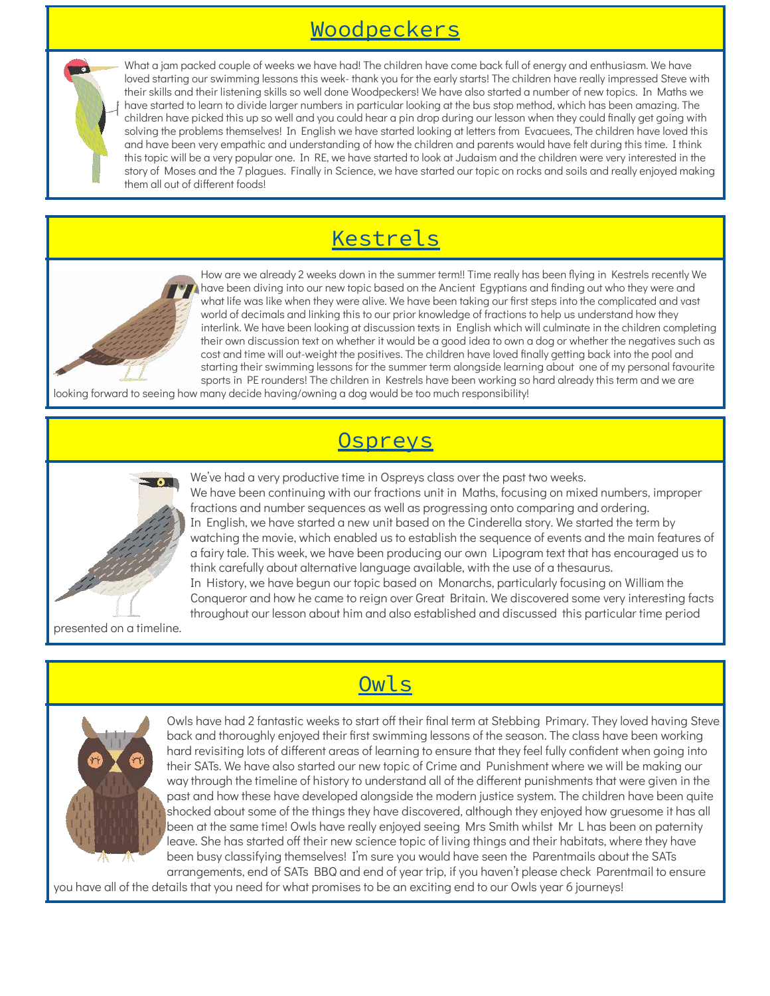### Woodpeckers



What a jam packed couple of weeks we have had! The children have come back full of energy and enthusiasm. We have loved starting our swimming lessons this week- thank you for the early starts! The children have really impressed Steve with their skills and their listening skills so well done Woodpeckers! We have also started a number of new topics. In Maths we have started to learn to divide larger numbers in particular looking at the bus stop method, which has been amazing. The children have picked this up so well and you could hear a pin drop during our lesson when they could finally get going with solving the problems themselves! In English we have started looking at letters from Evacuees, The children have loved this and have been very empathic and understanding of how the children and parents would have felt during this time. I think this topic will be a very popular one. In RE, we have started to look at Judaism and the children were very interested in the story of Moses and the 7 plagues. Finally in Science, we have started our topic on rocks and soils and really enjoyed making them all out of different foods!

## Kestrels



How are we already 2 weeks down in the summer term!! Time really has been flying in Kestrels recently We have been diving into our new topic based on the Ancient Egyptians and finding out who they were and what life was like when they were alive. We have been taking our first steps into the complicated and vast world of decimals and linking this to our prior knowledge of fractions to help us understand how they interlink. We have been looking at discussion texts in English which will culminate in the children completing their own discussion text on whether it would be a good idea to own a dog or whether the negatives such as cost and time will out-weight the positives. The children have loved finally getting back into the pool and starting their swimming lessons for the summer term alongside learning about one of my personal favourite sports in PE rounders! The children in Kestrels have been working so hard already this term and we are

looking forward to seeing how many decide having/owning a dog would be too much responsibility!

#### Ospreys



We've had a very productive time in Ospreys class over the past two weeks. We have been continuing with our fractions unit in Maths, focusing on mixed numbers, improper fractions and number sequences as well as progressing onto comparing and ordering. In English, we have started a new unit based on the Cinderella story. We started the term by watching the movie, which enabled us to establish the sequence of events and the main features of a fairy tale. This week, we have been producing our own Lipogram text that has encouraged us to think carefully about alternative language available, with the use of a thesaurus. In History, we have begun our topic based on Monarchs, particularly focusing on William the Conqueror and how he came to reign over Great Britain. We discovered some very interesting facts throughout our lesson about him and also established and discussed this particular time period

presented on a timeline.



Owls have had 2 fantastic weeks to start off their final term at Stebbing Primary. They loved having Steve back and thoroughly enjoyed their first swimming lessons of the season. The class have been working hard revisiting lots of different areas of learning to ensure that they feel fully confident when going into their SATs. We have also started our new topic of Crime and Punishment where we will be making our way through the timeline of history to understand all of the different punishments that were given in the past and how these have developed alongside the modern justice system. The children have been quite shocked about some of the things they have discovered, although they enjoyed how gruesome it has all been at the same time! Owls have really enjoyed seeing Mrs Smith whilst Mr L has been on paternity leave. She has started off their new science topic of living things and their habitats, where they have been busy classifying themselves! I'm sure you would have seen the Parentmails about the SATs arrangements, end of SATs BBQ and end of year trip, if you haven't please check Parentmail to ensure

you have all of the details that you need for what promises to be an exciting end to our Owls year 6 journeys!

### **Owls**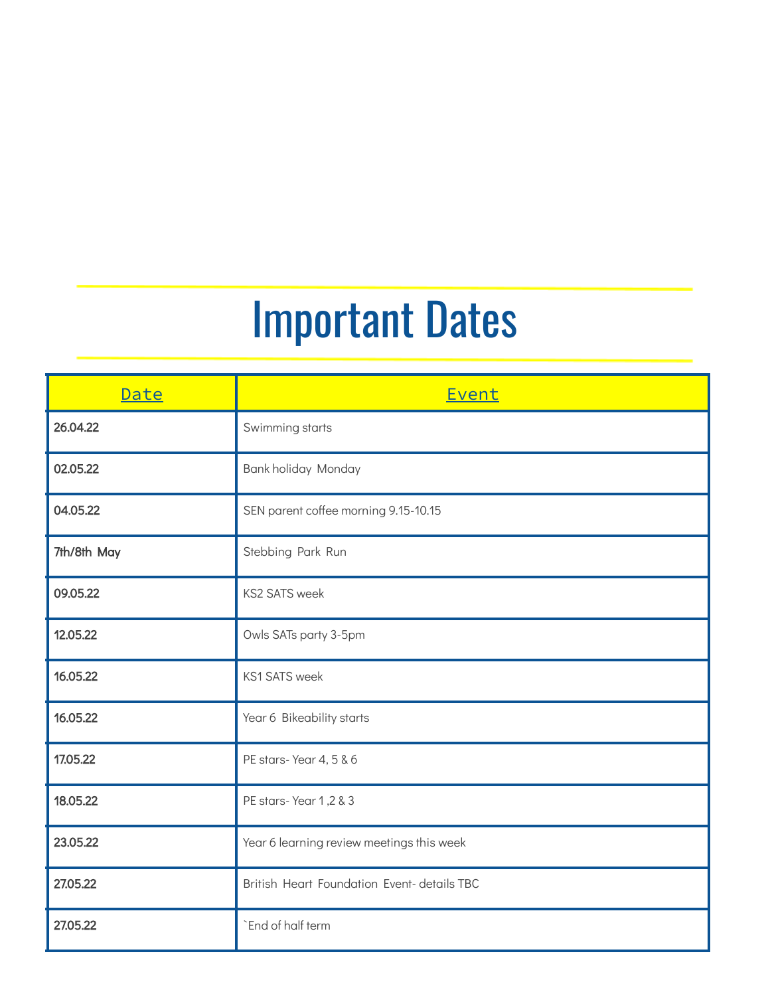# Important Dates

| Date        | Event                                       |
|-------------|---------------------------------------------|
| 26.04.22    | Swimming starts                             |
| 02.05.22    | Bank holiday Monday                         |
| 04.05.22    | SEN parent coffee morning 9.15-10.15        |
| 7th/8th May | Stebbing Park Run                           |
| 09.05.22    | <b>KS2 SATS week</b>                        |
| 12.05.22    | Owls SATs party 3-5pm                       |
| 16.05.22    | <b>KS1 SATS week</b>                        |
| 16.05.22    | Year 6 Bikeability starts                   |
| 17.05.22    | PE stars-Year 4, 5 & 6                      |
| 18.05.22    | PE stars-Year 1,2 & 3                       |
| 23.05.22    | Year 6 learning review meetings this week   |
| 27.05.22    | British Heart Foundation Event- details TBC |
| 27.05.22    | `End of half term                           |